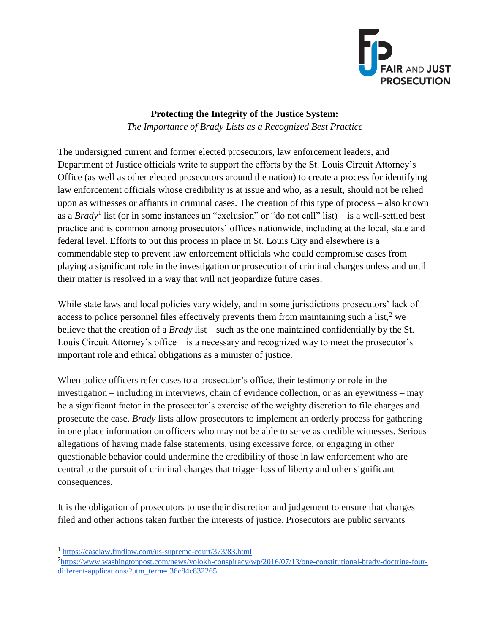

# **Protecting the Integrity of the Justice System:** *The Importance of Brady Lists as a Recognized Best Practice*

The undersigned current and former elected prosecutors, law enforcement leaders, and Department of Justice officials write to support the efforts by the St. Louis Circuit Attorney's Office (as well as other elected prosecutors around the nation) to create a process for identifying law enforcement officials whose credibility is at issue and who, as a result, should not be relied upon as witnesses or affiants in criminal cases. The creation of this type of process – also known as a *Brady*<sup>1</sup> list (or in some instances an "exclusion" or "do not call" list) – is a well-settled best practice and is common among prosecutors' offices nationwide, including at the local, state and federal level. Efforts to put this process in place in St. Louis City and elsewhere is a commendable step to prevent law enforcement officials who could compromise cases from playing a significant role in the investigation or prosecution of criminal charges unless and until their matter is resolved in a way that will not jeopardize future cases.

While state laws and local policies vary widely, and in some jurisdictions prosecutors' lack of access to police personnel files effectively prevents them from maintaining such a list, $2$  we believe that the creation of a *Brady* list – such as the one maintained confidentially by the St. Louis Circuit Attorney's office – is a necessary and recognized way to meet the prosecutor's important role and ethical obligations as a minister of justice.

When police officers refer cases to a prosecutor's office, their testimony or role in the investigation – including in interviews, chain of evidence collection, or as an eyewitness – may be a significant factor in the prosecutor's exercise of the weighty discretion to file charges and prosecute the case. *Brady* lists allow prosecutors to implement an orderly process for gathering in one place information on officers who may not be able to serve as credible witnesses. Serious allegations of having made false statements, using excessive force, or engaging in other questionable behavior could undermine the credibility of those in law enforcement who are central to the pursuit of criminal charges that trigger loss of liberty and other significant consequences.

It is the obligation of prosecutors to use their discretion and judgement to ensure that charges filed and other actions taken further the interests of justice. Prosecutors are public servants

<sup>1</sup> <https://caselaw.findlaw.com/us-supreme-court/373/83.html>

<sup>2</sup> [https://www.washingtonpost.com/news/volokh-conspiracy/wp/2016/07/13/one-constitutional-brady-doctrine-four](https://www.washingtonpost.com/news/volokh-conspiracy/wp/2016/07/13/one-constitutional-brady-doctrine-four-different-applications/?utm_term=.36c84c832265)[different-applications/?utm\\_term=.36c84c832265](https://www.washingtonpost.com/news/volokh-conspiracy/wp/2016/07/13/one-constitutional-brady-doctrine-four-different-applications/?utm_term=.36c84c832265)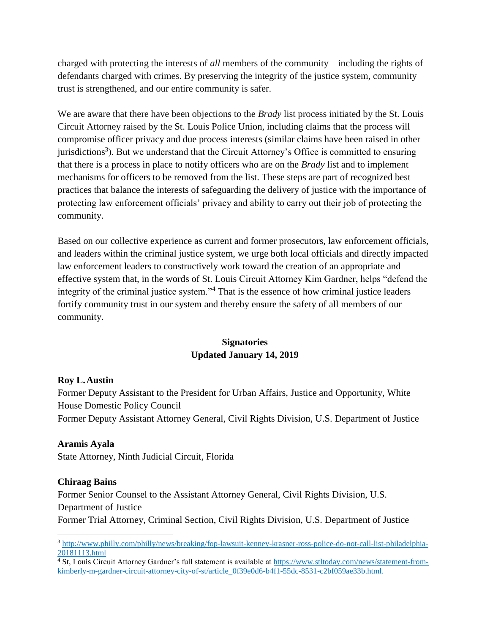charged with protecting the interests of *all* members of the community – including the rights of defendants charged with crimes. By preserving the integrity of the justice system, community trust is strengthened, and our entire community is safer.

We are aware that there have been objections to the *Brady* list process initiated by the St. Louis Circuit Attorney raised by the St. Louis Police Union, including claims that the process will compromise officer privacy and due process interests (similar claims have been raised in other jurisdictions<sup>3</sup>). But we understand that the Circuit Attorney's Office is committed to ensuring that there is a process in place to notify officers who are on the *Brady* list and to implement mechanisms for officers to be removed from the list. These steps are part of recognized best practices that balance the interests of safeguarding the delivery of justice with the importance of protecting law enforcement officials' privacy and ability to carry out their job of protecting the community.

Based on our collective experience as current and former prosecutors, law enforcement officials, and leaders within the criminal justice system, we urge both local officials and directly impacted law enforcement leaders to constructively work toward the creation of an appropriate and effective system that, in the words of St. Louis Circuit Attorney Kim Gardner, helps "defend the integrity of the criminal justice system."<sup>4</sup> That is the essence of how criminal justice leaders fortify community trust in our system and thereby ensure the safety of all members of our community.

# **Signatories Updated January 14, 2019**

#### **Roy L.Austin**

Former Deputy Assistant to the President for Urban Affairs, Justice and Opportunity, White House Domestic Policy Council

Former Deputy Assistant Attorney General, Civil Rights Division, U.S. Department of Justice

### **Aramis Ayala**

State Attorney, Ninth Judicial Circuit, Florida

#### **Chiraag Bains**

Former Senior Counsel to the Assistant Attorney General, Civil Rights Division, U.S. Department of Justice

Former Trial Attorney, Criminal Section, Civil Rights Division, U.S. Department of Justice

<sup>3</sup> [http://www.philly.com/philly/news/breaking/fop-lawsuit-kenney-krasner-ross-police-do-not-call-list-philadelphia-](http://www.philly.com/philly/news/breaking/fop-lawsuit-kenney-krasner-ross-police-do-not-call-list-philadelphia-20181113.html)[20181113.html](http://www.philly.com/philly/news/breaking/fop-lawsuit-kenney-krasner-ross-police-do-not-call-list-philadelphia-20181113.html)

<sup>&</sup>lt;sup>4</sup> St, Louis Circuit Attorney Gardner's full statement is available at [https://www.stltoday.com/news/statement-from](https://www.stltoday.com/news/statement-from-kimberly-m-gardner-circuit-attorney-city-of-st/article_0f39e0d6-b4f1-55dc-8531-c2bf059ae33b.html)[kimberly-m-gardner-circuit-attorney-city-of-st/article\\_0f39e0d6-b4f1-55dc-8531-c2bf059ae33b.html.](https://www.stltoday.com/news/statement-from-kimberly-m-gardner-circuit-attorney-city-of-st/article_0f39e0d6-b4f1-55dc-8531-c2bf059ae33b.html)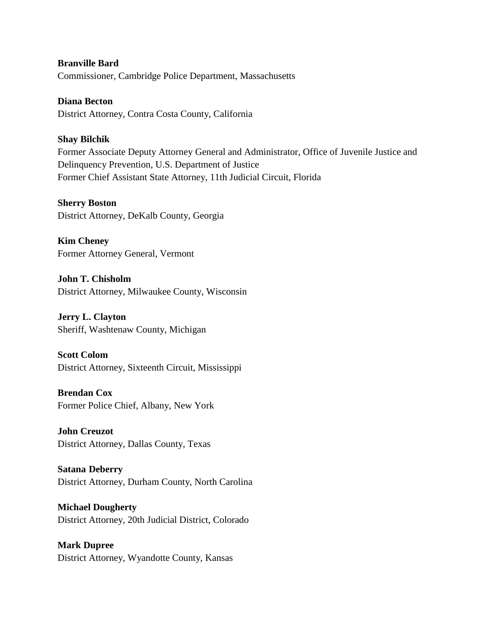**Branville Bard** Commissioner, Cambridge Police Department, Massachusetts

**Diana Becton** District Attorney, Contra Costa County, California

## **Shay Bilchik**

Former Associate Deputy Attorney General and Administrator, Office of Juvenile Justice and Delinquency Prevention, U.S. Department of Justice Former Chief Assistant State Attorney, 11th Judicial Circuit, Florida

**Sherry Boston** District Attorney, DeKalb County, Georgia

**Kim Cheney** Former Attorney General, Vermont

**John T. Chisholm** District Attorney, Milwaukee County, Wisconsin

**Jerry L. Clayton** Sheriff, Washtenaw County, Michigan

**Scott Colom**

District Attorney, Sixteenth Circuit, Mississippi

**Brendan Cox** Former Police Chief, Albany, New York

**John Creuzot** District Attorney, Dallas County, Texas

**Satana Deberry** District Attorney, Durham County, North Carolina

**Michael Dougherty** District Attorney, 20th Judicial District, Colorado

**Mark Dupree** District Attorney, Wyandotte County, Kansas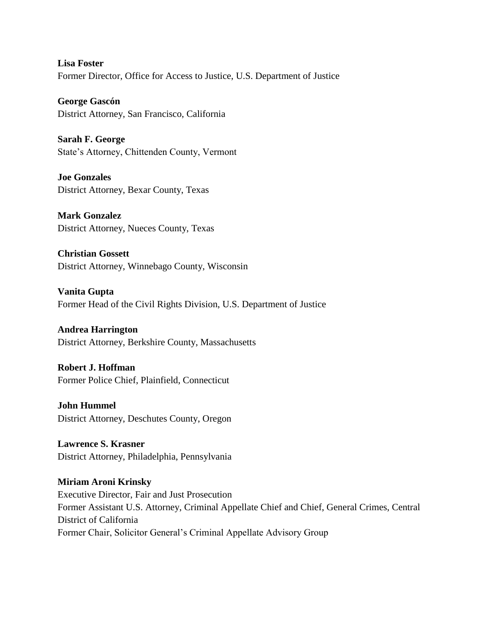**Lisa Foster** Former Director, Office for Access to Justice, U.S. Department of Justice

**George Gascón** District Attorney, San Francisco, California

**Sarah F. George** State's Attorney, Chittenden County, Vermont

**Joe Gonzales** District Attorney, Bexar County, Texas

**Mark Gonzalez** District Attorney, Nueces County, Texas

**Christian Gossett** District Attorney, Winnebago County, Wisconsin

**Vanita Gupta**  Former Head of the Civil Rights Division, U.S. Department of Justice

**Andrea Harrington** District Attorney, Berkshire County, Massachusetts

**Robert J. Hoffman** Former Police Chief, Plainfield, Connecticut

**John Hummel** District Attorney, Deschutes County, Oregon

**Lawrence S. Krasner** District Attorney, Philadelphia, Pennsylvania

**Miriam Aroni Krinsky** Executive Director, Fair and Just Prosecution Former Assistant U.S. Attorney, Criminal Appellate Chief and Chief, General Crimes, Central District of California Former Chair, Solicitor General's Criminal Appellate Advisory Group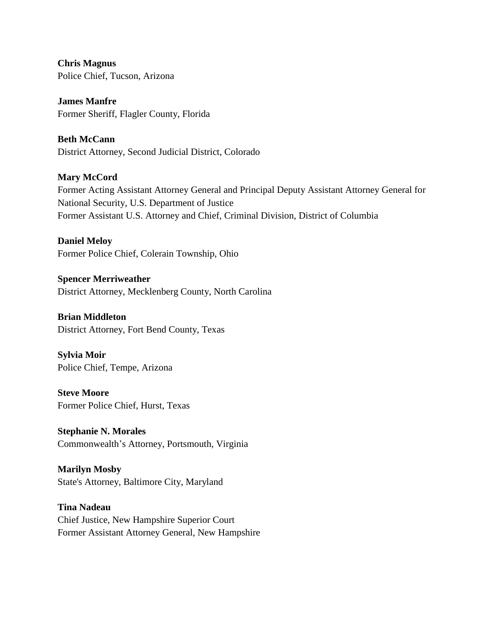**Chris Magnus** Police Chief, Tucson, Arizona

**James Manfre** Former Sheriff, Flagler County, Florida

**Beth McCann** District Attorney, Second Judicial District, Colorado

**Mary McCord** Former Acting Assistant Attorney General and Principal Deputy Assistant Attorney General for National Security, U.S. Department of Justice Former Assistant U.S. Attorney and Chief, Criminal Division, District of Columbia

**Daniel Meloy** Former Police Chief, Colerain Township, Ohio

**Spencer Merriweather** District Attorney, Mecklenberg County, North Carolina

**Brian Middleton** District Attorney, Fort Bend County, Texas

**Sylvia Moir** Police Chief, Tempe, Arizona

**Steve Moore** Former Police Chief, Hurst, Texas

**Stephanie N. Morales**  Commonwealth's Attorney, Portsmouth, Virginia

**Marilyn Mosby** State's Attorney, Baltimore City, Maryland

**Tina Nadeau** Chief Justice, New Hampshire Superior Court Former Assistant Attorney General, New Hampshire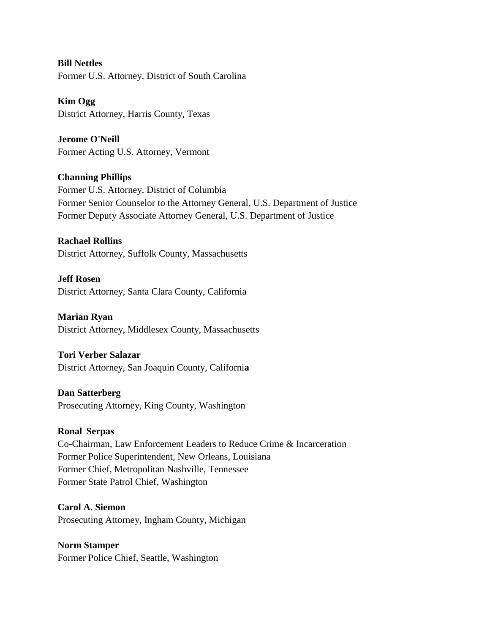**Bill Nettles** Former U.S. Attorney, District of South Carolina

**Kim Ogg** District Attorney, Harris County, Texas

**Jerome O'Neill** Former Acting U.S. Attorney, Vermont

**Channing Phillips** Former U.S. Attorney, District of Columbia Former Senior Counselor to the Attorney General, U.S. Department of Justice Former Deputy Associate Attorney General, U.S. Department of Justice

**Rachael Rollins** District Attorney, Suffolk County, Massachusetts

**Jeff Rosen** District Attorney, Santa Clara County, California

**Marian Ryan** District Attorney, Middlesex County, Massachusetts

#### **Tori Verber Salazar**

District Attorney, San Joaquin County, Californi**a**

### **Dan Satterberg**

Prosecuting Attorney, King County, Washington

#### **Ronal Serpas**

Co-Chairman, Law Enforcement Leaders to Reduce Crime & Incarceration Former Police Superintendent, New Orleans, Louisiana Former Chief, Metropolitan Nashville, Tennessee Former State Patrol Chief, Washington

**Carol A. Siemon** Prosecuting Attorney, Ingham County, Michigan

**Norm Stamper** Former Police Chief, Seattle, Washington